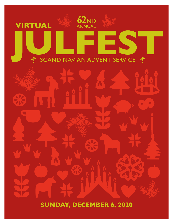

**SUNDAY, DECEMBER 6, 2020**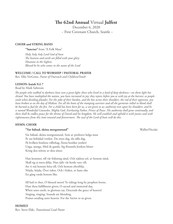# **The 62nd Annual** Virtual **Julfest**

December 6, 2020 ~ First Covenant Church, Seattle ~

# **CHOIR and STRING BAND**

**"Sanctus"** from "A Folk Mass"

*Holy, holy, holy Lord God of hosts The heavens and earth are filled with your glory Hosanna in the highest, Blessed be he who comes in the name of the Lord*

# **WELCOME / CALL TO WORSHIP / PASTORAL PRAYER**

Rev. Ellie VerGowe, *Pastor of Outreach and Children/Youth*

# **LESSON: Isaiah 9:2-7**

Read by Mark Safstrom

*The people who walked in darkness have seen a great light; those who lived in a land of deep darkness—on them light has shined. You have multiplied the nation, you have increased its joy; they rejoice before you as with joy at the harvest, as people exult when dividing plunder. For the yoke of their burden, and the bar across their shoulders, the rod of their oppressor, you have broken as on the day of Midian. For all the boots of the tramping warriors and all the garments rolled in blood shall be burned as fuel for the fire. For a child has been born for us, a son given to us; authority rests upon his shoulders; and he is named Wonderful Counselor, Mighty God, Everlasting Father, Prince of Peace. His authority shall grow continually, and there shall be endless peace for the throne of David and his kingdom. He will establish and uphold it with justice and with righteousness from this time onward and forevermore. The zeal of the Lord of hosts will do this.*

# **HYMN: CHOIR**

# **"Var hälsad, sköna morgonstund"** Wallin/Nicolai

Var hälsad, sköna morgonstund, Som av profeters helga mun Är oss bebådad vorden. Du stora dag, du sälla dag, På hvilken himlens välbehag, Ännu besöker jorden! Unga, sjunga, Med de gamla, Sig församla Jordens böner Kring den störste av dess söner.

Han kommer, till vår frälsning sänd, Och nådens sol, av honom tänd, Skall sig ej mera dölja. Han själv vår herde vara vill, Att vi må honom höra till, Och honom efterfölja. Nöjda, höjda, Över tiden, Och i friden, av hans rike En gång varda honom like.

All hail to thee, O blessed morn! To tidings long by prophets borne. Hast thou fulfillment given; O sacred and immortal day, When unto earth, in glorious ray, Descends the grace of heaven! Singing, ringing, Sounds are blending, Praises sending unto heaven. For the Savior to us given.

# **HOMILY**

Rev. Steve Elde, *Transitional Lead Pastor*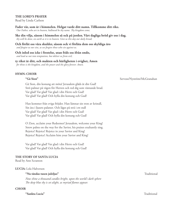# **THE LORD'S PRAYER**

Read by Linda Carlson

**Fader vår, som är i himmelen. Helgat varde ditt namn. Tillkomme ditt rike.**

*Our Father, who art in heaven, hallowed be thy name. Thy kingdom come,*

**Ske din vilja, såsom i himmelen så ock på jorden. Vårt dagliga bröd giv oss i dag.** *thy will be done, on earth as it is in heaven. Give us this day our daily bread;*

**Och förlåt oss våra skulder, såsom ock vi förlåta dem oss skyldiga äro** *and forgive us our sins, as we forgive those who sin against us.*

**Och inled oss icke i frestelse, utan fräls oss ifrån ondo,** *and lead us not into temptation, but deliver us from evil,*

**ty riket är ditt, och makten och härligheten i evighet, Amen** *for thine is the kingdom, and the power and the glory forever. Amen.*

# **HYMN: CHOIR**

Gå Sion, din konung att möta! Jerusalem gläds åt din Gud! Strö palmer på vägen för Herren och red dig som väntande brud. Var glad! Var glad! Var glad i din Herre och Gud! Var glad! Var glad! Och hylla din konung och Gud!

Han kommer från eviga fröjder. Han lämnar sin tron av kristall, Sin ära i ljusets palatser. Och läges på strå i ett stall Var glad! Var glad! Var glad i din Herre och Gud! Var glad! Var glad! Och hylla din konung och Gud!

O Zion, acclaim your Redeemer! Jerusalem, welcome your King! Strew palms on the way for the Savior, his praises exultantly sing. Rejoice! Rejoice! Rejoice in your Savior and King! Rejoice! Rejoice! Acclaim him your Savior and King!

Var glad! Var glad! Var glad i din Herre och Gud! Var glad! Var glad! Och hylla din konung och Gud!

# **THE STORY OF SANTA LUCIA**

Read by Ann Scranton

# **LUCIA:** Lola Halverson

### **"Nu tändas tusen juleljus"** Traditional

*Now shine a thousand candles bright, upon the world's dark sphere The deep blue sky is set alight, as myriad flames appear.*

# **CHOIR**

**"Sankta Lucia"** Traditional

**"Gå Sion"** Servoss/Nyström/McGranahan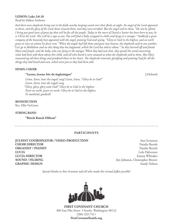# **LESSON: Luke 2:8-20**

Read by Håkan Axelsson

*And there were shepherds living out in the fields nearby, keeping watch over their flocks at night. An angel of the Lord appeared to them, and the glory of the Lord shone around them, and they were terrified. But the angel said to them, "Do not be afraid. I bring you good news of great joy that will be for all the people. Today in the town of David a Savior has been born to you; he is Christ the Lord. This will be a sign to you: You will find a baby wrapped in cloths and lying in a manger." Suddenly a great company of the heavenly host appeared with the angel, praising God and saying, "Glory to God in the highest, and on earth peace to men on whom his favor rests." When the angels had left them and gone into heaven, the shepherds said to one another, "Let's go to Bethlehem and see this thing that has happened, which the Lord has told us about." So they hurried off and found Mary and Joseph, and the baby, who was lying in the manger. When they had seen him, they spread the word concerning what had been told them about this child, and all who heard it were amazed at what the shepherds said to them. But Mary treasured up all these things and pondered them in her heart. The shepherds returned, glorifying and praising God for all the things they had heard and seen, which were just as they had been told.*

# **HYMN: CHOIR**

# **"Lyssna, lyssna: hör du änglasången"** J.Holstedt

*Listen, listen, hear the angels' song! Listen, listen, "Glory be to God!" Listen, listen, hear the angels' song. "Glory, glory, glory unto God!" Glory be to God in the highest, Peace on earth, peace on earth. Glory be to God in the highest, To mankind, goodwill.*

# **BENEDICTION**

Rev. Ellie VerGowe

# **STRING BAND**

**"Ritsch Ratsch Filibom"**

# **PARTICIPANTS**

**JULFEST COORDINATOR / VIDEO PRODUCTION** Ann Scranton **CHOIR DIRECTOR** Natalie Bartels **ORGANIST / PIANIST Natalie Bartels LUCIA** Lola Halverson **LUCIA DIRECTOR** Emma Whitaker **SOUND / FILMING** Jim Johnson, Christopher Brown **GRAPHIC DESIGN** Sandy Nelson Sandy Nelson Sandy Nelson Sandy Nelson Sandy Nelson Sandy Nelson Sandy Nelson Sandy Nelson

*Special thanks to Ann Scranton and all who made this virtual Julfest possible!*



**FIRST COVENANT CHURCH** 400 East Pike Street • Seattle, Washington 98122 (206) 322-7411 **FirstCovenantSeattle.org**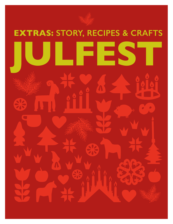

# **JULFEST EXTRAS: STORY, RECIPES & CRAFTS**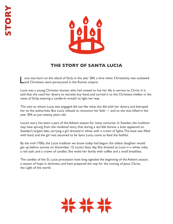

# **THE STORY OF SANTA LUCIA**

Lucia was born on the island of Sicily in the year 284, a time when Christianity was outlawed<br>
Land Christians were persecuted in the Roman empire.

Lucia was a young Christian woman who had vowed to live her life in service to Christ. It is said that she used her dowry to secretly buy food, and carried it to the Christians hidden in the caves of Sicily, wearing a candle-lit wreath to light her way.

The man to whom Lucia was engaged did not like what she did with her dowry, and betrayed her to the authorities. But Lucia refused to renounce her faith — and so she was killed in the year 304, at just twenty years old.

Lucia's story has been a part of the Advent season for many centuries. In Sweden, the tradition may have sprung from the medieval story that during a terrible famine, a boat appeared on Sweden's largest lake, carrying a girl dressed in white with a crown of lights. The boat was filled with food, and the girl was assumed to be Saint Lucia, come to feed the faithful.

By the mid-1700s, the Lucia tradition we know today had begun: the oldest daughter would get up before sunrise on December 13, Lucia's feast day. She dressed as Lucia in a white robe, a red sash, and a crown of candles. She woke her family with coffee and a small breakfast.

The candles of the St. Lucia procession have long signaled the beginning of the Advent season, a season of hope in darkness, and have prepared the way for the coming of Jesus Christ, the Light of the world.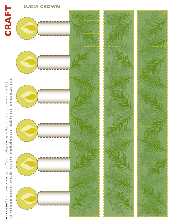CRAFT **CRAFT** Slip the 3 pieces together by fitting a slot into another slot and adjust to size - match the letters - to create a Lucia crown. **NSTRUCTIONS:** Print this page on heavy paper. Cut out the shapes along the dotted lines (but don't cut off the candles!)<br>Slip the 3 pieces together by fitting a slot into another slot and adjust to size - match the letter INSTRUCTIONS: Print this page on heavy paper. Cut out the shapes along the dotted lines (but don't cut off the candles!)





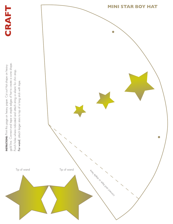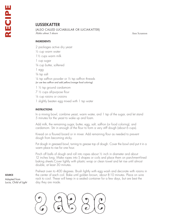# LUSSEKATTER

(ALSO CALLED LUCIABULLAR OR LUCIAKATTER) *Makes about 5 dozen*

Ann Scranton

# **INGREDIENTS**

2 packages active dry yeast ½ cup warm water 1½ cups warm milk 1 cup sugar ¾ cup butter, softened 1 egg ¾ tsp salt  $\frac{1}{4}$  tsp saffron powder or  $\frac{1}{2}$  tsp saffron threads *(or use less saffron and add yellow/orange food coloring)* 1 ½ tsp ground cardamom

7 ½ cups all-purpose flour ¼ cup raisins or craisins 1 slightly beaten egg mixed with 1 tsp water

# INSTRUCTIONS

In a mixing bowl, combine yeast, warm water, and 1 tsp of the sugar, and let stand 5 minutes for the yeast to wake up and foam.

Add milk, the remaining sugar, butter, egg, salt, saffron (or food coloring), and cardamom. Stir in enough of the flour to form a very stiff dough (about 6 cups).

Knead on a floured board or in mixer. Add remaining flour as needed to prevent dough from becoming sticky.

Put dough in greased bowl, turning to grease top of dough. Cover the bowl and put it in a warm place to rise for one hour.

Pinch off balls of dough and roll into ropes about ½ inch in diameter and about 12 inches long. Make ropes into S shapes or coils and place them on parchment-lined baking sheets.Cover lightly with plastic wrap or clean towel and let rise until almost double, at least 30 minutes.

Preheat oven to 400 degrees. Brush lightly with egg wash and decorate with raisins in the center of each coil. Bake until golden brown, about 8-10 minutes. Place on wire rack to cool. These will keep in a sealed container for a few days, but are best the day they are made.

Adapted from Lucia, Child of Light

**SOURCE** 

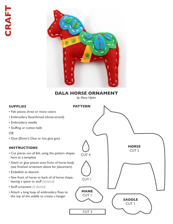

**DALA HORSE ORNAMENT** 

*by Mary Hjelm*

# **SUPPLIES**

- Felt pieces, three or more colors
- Embroidery floss/thread (three-strand)
- Embroidery needle
- Stuffing or cotton balls

# OR

• Glue (Elmer's Glue or hot glue gun)

# **INSTRUCTIONS**

- Cut pieces out of felt, using the pattern shapes here as a template
- Stitch or glue pieces onto front of horse body (see finished ornament above for placement)
- Embellish as desired
- Sew front of horse to back of of horse shape, leaving a space to stuff *(optional)*
- Stuff ornament *(if desired)*
- Attach a long loop of embroidery floss to the top of the saddle to create a hanger

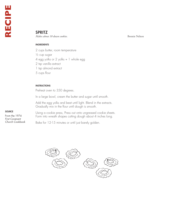SPRITZ *Makes about 10 dozen cookies.*

Bonnie Nelson

# INGREDIENTS

2 cups butter, room temperature ½ cup sugar 4 egg yolks or 2 yolks + 1 whole egg 2 tsp vanilla extract 1 tsp almond extract 5 cups flour

# **INSTRUCTIONS**

Preheat oven to 350 degrees.

In a large bowl, cream the butter and sugar until smooth.

Add the egg yolks and beat until light. Blend in the extracts. Gradually mix in the flour until dough is smooth.

Using a cookie press, Press out onto ungreased cookie sheets. Form into wreath shapes cutting dough about 4 inches long.

Bake for 12-15 minutes or until just barely golden.



### **SOURCE**

From the 1974 *First Covenant Church Cookbook*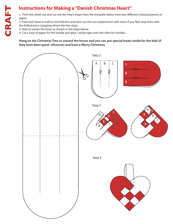**CRAFT INSTRUCTIONS for Making a "Danish Christmas Heart"**<br>
1. Print this sheet out and cut out the heart shape from the template below from two difference.<br>
2. Fold each heart in half on the fold line and then cut the two 1. Print this sheet out and cut out the heart shape from the template below from two different coloured pieces of paper.

2. Fold each heart in half on the fold line and then cut the two (experiment with more if you like) strip lines with the folded peice stopping where the line stops.

3. Start to weave the heart as shown in the steps below.

4. Cut a strip of paper for the handle and glue / sticky tape onto the sides for handles.

**Hang on the Christmas Tree or around the house and you can put special treats inside for the kids (if they have been good -ofcourse) and have a Merry Christmas.**

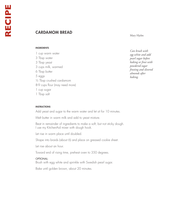# CARDAMOM BREAD

Mary Hjelm

# INGREDIENTS

1 cup warm water 3 Tbsp water 3 Tbsp yeast 3 cups milk, warmed 6 Tbsp butter 5 eggs ½ Tbsp crushed cardamom 8-9 cups flour (may need more) 1 cup sugar 1 Tbsp salt

*Can brush with egg white and add pearl sugar before baking or frost with powdered sugar frosting and slivered almonds after baking.*

# **INSTRUCTIONS**

Add yeast and sugar to the warm water and let sit for 10 minutes.

Melt butter in warm milk and add to yeast mixture.

Beat in remainder of ingredients to make a soft, but not sticky dough. I use my KitchenAid mixer with dough hook.

Let rise in warm place until doubled.

Shape into braids (about 6) and place on greased cookie sheet.

Let rise about an hour.

Toward end of rising time, preheat oven to 350 degrees.

# OPTIONAL:

Brush with egg white and sprinkle with Swedish pearl sugar.

Bake until golden brown, about 20 minutes.